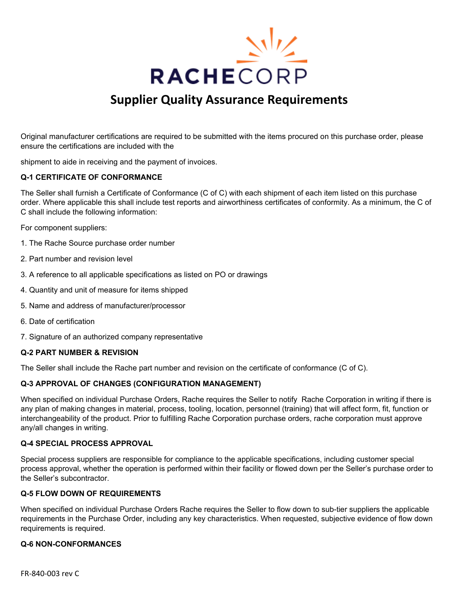

# **Supplier Quality Assurance Requirements**

Original manufacturer certifications are required to be submitted with the items procured on this purchase order, please ensure the certifications are included with the

shipment to aide in receiving and the payment of invoices.

## **Q-1 CERTIFICATE OF CONFORMANCE**

The Seller shall furnish a Certificate of Conformance (C of C) with each shipment of each item listed on this purchase order. Where applicable this shall include test reports and airworthiness certificates of conformity. As a minimum, the C of C shall include the following information:

For component suppliers:

- 1. The Rache Source purchase order number
- 2. Part number and revision level
- 3. A reference to all applicable specifications as listed on PO or drawings
- 4. Quantity and unit of measure for items shipped
- 5. Name and address of manufacturer/processor
- 6. Date of certification
- 7. Signature of an authorized company representative

#### **Q-2 PART NUMBER & REVISION**

The Seller shall include the Rache part number and revision on the certificate of conformance (C of C).

#### **Q-3 APPROVAL OF CHANGES (CONFIGURATION MANAGEMENT)**

When specified on individual Purchase Orders, Rache requires the Seller to notify Rache Corporation in writing if there is any plan of making changes in material, process, tooling, location, personnel (training) that will affect form, fit, function or interchangeability of the product. Prior to fulfilling Rache Corporation purchase orders, rache corporation must approve any/all changes in writing.

#### **Q-4 SPECIAL PROCESS APPROVAL**

Special process suppliers are responsible for compliance to the applicable specifications, including customer special process approval, whether the operation is performed within their facility or flowed down per the Seller's purchase order to the Seller's subcontractor.

#### **Q-5 FLOW DOWN OF REQUIREMENTS**

When specified on individual Purchase Orders Rache requires the Seller to flow down to sub-tier suppliers the applicable requirements in the Purchase Order, including any key characteristics. When requested, subjective evidence of flow down requirements is required.

#### **Q-6 NON-CONFORMANCES**

FR-840-003 rev C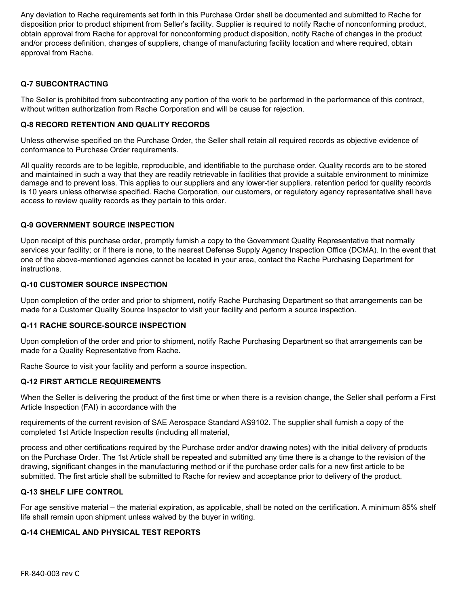Any deviation to Rache requirements set forth in this Purchase Order shall be documented and submitted to Rache for disposition prior to product shipment from Seller's facility. Supplier is required to notify Rache of nonconforming product, obtain approval from Rache for approval for nonconforming product disposition, notify Rache of changes in the product and/or process definition, changes of suppliers, change of manufacturing facility location and where required, obtain approval from Rache.

# **Q-7 SUBCONTRACTING**

The Seller is prohibited from subcontracting any portion of the work to be performed in the performance of this contract, without written authorization from Rache Corporation and will be cause for rejection.

## **Q-8 RECORD RETENTION AND QUALITY RECORDS**

Unless otherwise specified on the Purchase Order, the Seller shall retain all required records as objective evidence of conformance to Purchase Order requirements.

All quality records are to be legible, reproducible, and identifiable to the purchase order. Quality records are to be stored and maintained in such a way that they are readily retrievable in facilities that provide a suitable environment to minimize damage and to prevent loss. This applies to our suppliers and any lower-tier suppliers. retention period for quality records is 10 years unless otherwise specified. Rache Corporation, our customers, or regulatory agency representative shall have access to review quality records as they pertain to this order.

## **Q-9 GOVERNMENT SOURCE INSPECTION**

Upon receipt of this purchase order, promptly furnish a copy to the Government Quality Representative that normally services your facility; or if there is none, to the nearest Defense Supply Agency Inspection Office (DCMA). In the event that one of the above-mentioned agencies cannot be located in your area, contact the Rache Purchasing Department for instructions.

## **Q-10 CUSTOMER SOURCE INSPECTION**

Upon completion of the order and prior to shipment, notify Rache Purchasing Department so that arrangements can be made for a Customer Quality Source Inspector to visit your facility and perform a source inspection.

#### **Q-11 RACHE SOURCE-SOURCE INSPECTION**

Upon completion of the order and prior to shipment, notify Rache Purchasing Department so that arrangements can be made for a Quality Representative from Rache.

Rache Source to visit your facility and perform a source inspection.

## **Q-12 FIRST ARTICLE REQUIREMENTS**

When the Seller is delivering the product of the first time or when there is a revision change, the Seller shall perform a First Article Inspection (FAI) in accordance with the

requirements of the current revision of SAE Aerospace Standard AS9102. The supplier shall furnish a copy of the completed 1st Article Inspection results (including all material,

process and other certifications required by the Purchase order and/or drawing notes) with the initial delivery of products on the Purchase Order. The 1st Article shall be repeated and submitted any time there is a change to the revision of the drawing, significant changes in the manufacturing method or if the purchase order calls for a new first article to be submitted. The first article shall be submitted to Rache for review and acceptance prior to delivery of the product.

## **Q-13 SHELF LIFE CONTROL**

For age sensitive material – the material expiration, as applicable, shall be noted on the certification. A minimum 85% shelf life shall remain upon shipment unless waived by the buyer in writing.

## **Q-14 CHEMICAL AND PHYSICAL TEST REPORTS**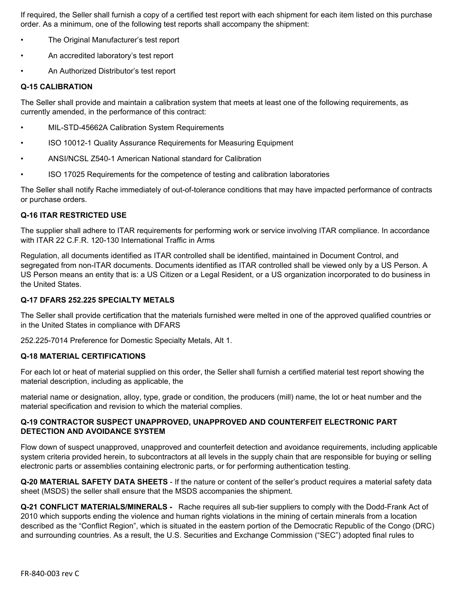If required, the Seller shall furnish a copy of a certified test report with each shipment for each item listed on this purchase order. As a minimum, one of the following test reports shall accompany the shipment:

- The Original Manufacturer's test report
- An accredited laboratory's test report
- An Authorized Distributor's test report

#### **Q-15 CALIBRATION**

The Seller shall provide and maintain a calibration system that meets at least one of the following requirements, as currently amended, in the performance of this contract:

- MIL-STD-45662A Calibration System Requirements
- ISO 10012-1 Quality Assurance Requirements for Measuring Equipment
- ANSI/NCSL Z540-1 American National standard for Calibration
- ISO 17025 Requirements for the competence of testing and calibration laboratories

The Seller shall notify Rache immediately of out-of-tolerance conditions that may have impacted performance of contracts or purchase orders.

## **Q-16 ITAR RESTRICTED USE**

The supplier shall adhere to ITAR requirements for performing work or service involving ITAR compliance. In accordance with ITAR 22 C.F.R. 120-130 International Traffic in Arms

Regulation, all documents identified as ITAR controlled shall be identified, maintained in Document Control, and segregated from non-ITAR documents. Documents identified as ITAR controlled shall be viewed only by a US Person. A US Person means an entity that is: a US Citizen or a Legal Resident, or a US organization incorporated to do business in the United States.

## **Q-17 DFARS 252.225 SPECIALTY METALS**

The Seller shall provide certification that the materials furnished were melted in one of the approved qualified countries or in the United States in compliance with DFARS

252.225-7014 Preference for Domestic Specialty Metals, Alt 1.

## **Q-18 MATERIAL CERTIFICATIONS**

For each lot or heat of material supplied on this order, the Seller shall furnish a certified material test report showing the material description, including as applicable, the

material name or designation, alloy, type, grade or condition, the producers (mill) name, the lot or heat number and the material specification and revision to which the material complies.

## **Q-19 CONTRACTOR SUSPECT UNAPPROVED, UNAPPROVED AND COUNTERFEIT ELECTRONIC PART DETECTION AND AVOIDANCE SYSTEM**

Flow down of suspect unapproved, unapproved and counterfeit detection and avoidance requirements, including applicable system criteria provided herein, to subcontractors at all levels in the supply chain that are responsible for buying or selling electronic parts or assemblies containing electronic parts, or for performing authentication testing.

**Q-20 MATERIAL SAFETY DATA SHEETS** - If the nature or content of the seller's product requires a material safety data sheet (MSDS) the seller shall ensure that the MSDS accompanies the shipment.

**Q-21 CONFLICT MATERIALS/MINERALS -** Rache requires all sub-tier suppliers to comply with the Dodd-Frank Act of 2010 which supports ending the violence and human rights violations in the mining of certain minerals from a location described as the "Conflict Region", which is situated in the eastern portion of the Democratic Republic of the Congo (DRC) and surrounding countries. As a result, the U.S. Securities and Exchange Commission ("SEC") adopted final rules to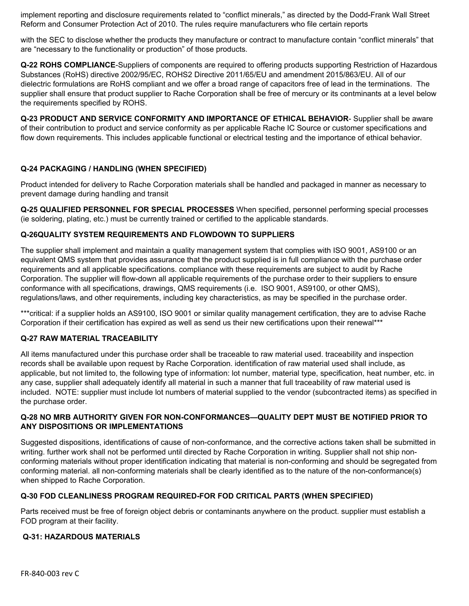implement reporting and disclosure requirements related to "conflict minerals," as directed by the Dodd-Frank Wall Street Reform and Consumer Protection Act of 2010. The rules require manufacturers who file certain reports

with the SEC to disclose whether the products they manufacture or contract to manufacture contain "conflict minerals" that are "necessary to the functionality or production" of those products.

**Q-22 ROHS COMPLIANCE**-Suppliers of components are required to offering products supporting Restriction of Hazardous Substances (RoHS) directive 2002/95/EC, ROHS2 Directive 2011/65/EU and amendment 2015/863/EU. All of our dielectric formulations are RoHS compliant and we offer a broad range of capacitors free of lead in the terminations. The supplier shall ensure that product supplier to Rache Corporation shall be free of mercury or its contminants at a level below the requirements specified by ROHS.

**Q-23 PRODUCT AND SERVICE CONFORMITY AND IMPORTANCE OF ETHICAL BEHAVIOR**- Supplier shall be aware of their contribution to product and service conformity as per applicable Rache IC Source or customer specifications and flow down requirements. This includes applicable functional or electrical testing and the importance of ethical behavior.

# **Q-24 PACKAGING / HANDLING (WHEN SPECIFIED)**

Product intended for delivery to Rache Corporation materials shall be handled and packaged in manner as necessary to prevent damage during handling and transit

**Q-25 QUALIFIED PERSONNEL FOR SPECIAL PROCESSES** When specified, personnel performing special processes (ie soldering, plating, etc.) must be currently trained or certified to the applicable standards.

## **Q-26QUALITY SYSTEM REQUIREMENTS AND FLOWDOWN TO SUPPLIERS**

The supplier shall implement and maintain a quality management system that complies with ISO 9001, AS9100 or an equivalent QMS system that provides assurance that the product supplied is in full compliance with the purchase order requirements and all applicable specifications. compliance with these requirements are subject to audit by Rache Corporation. The supplier will flow-down all applicable requirements of the purchase order to their suppliers to ensure conformance with all specifications, drawings, QMS requirements (i.e. ISO 9001, AS9100, or other QMS), regulations/laws, and other requirements, including key characteristics, as may be specified in the purchase order.

\*\*\*critical: if a supplier holds an AS9100, ISO 9001 or similar quality management certification, they are to advise Rache Corporation if their certification has expired as well as send us their new certifications upon their renewal\*\*\*

# **Q-27 RAW MATERIAL TRACEABILITY**

All items manufactured under this purchase order shall be traceable to raw material used. traceability and inspection records shall be available upon request by Rache Corporation. identification of raw material used shall include, as applicable, but not limited to, the following type of information: lot number, material type, specification, heat number, etc. in any case, supplier shall adequately identify all material in such a manner that full traceability of raw material used is included. NOTE: supplier must include lot numbers of material supplied to the vendor (subcontracted items) as specified in the purchase order.

## **Q-28 NO MRB AUTHORITY GIVEN FOR NON-CONFORMANCES—QUALITY DEPT MUST BE NOTIFIED PRIOR TO ANY DISPOSITIONS OR IMPLEMENTATIONS**

Suggested dispositions, identifications of cause of non-conformance, and the corrective actions taken shall be submitted in writing. further work shall not be performed until directed by Rache Corporation in writing. Supplier shall not ship nonconforming materials without proper identification indicating that material is non-conforming and should be segregated from conforming material. all non-conforming materials shall be clearly identified as to the nature of the non-conformance(s) when shipped to Rache Corporation.

# **Q-30 FOD CLEANLINESS PROGRAM REQUIRED-FOR FOD CRITICAL PARTS (WHEN SPECIFIED)**

Parts received must be free of foreign object debris or contaminants anywhere on the product. supplier must establish a FOD program at their facility.

## **Q-31: HAZARDOUS MATERIALS**